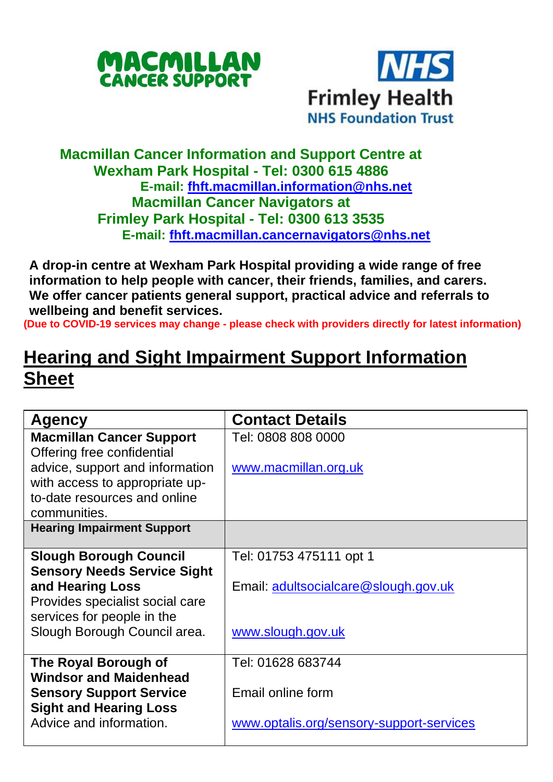



## **Macmillan Cancer Information and Support Centre at Wexham Park Hospital - Tel: 0300 615 4886 E-mail: [fhft.macmillan.information@nhs.net](mailto:fhft.macmillan.information@nhs.net) Macmillan Cancer Navigators at Frimley Park Hospital - Tel: 0300 613 3535 E-mail: [fhft.macmillan.cancernavigators@nhs.net](mailto:fhft.macmillan.cancernavigators@nhs.net)**

**A drop-in centre at Wexham Park Hospital providing a wide range of free information to help people with cancer, their friends, families, and carers. We offer cancer patients general support, practical advice and referrals to wellbeing and benefit services.**

**(Due to COVID-19 services may change - please check with providers directly for latest information)**

## **Hearing and Sight Impairment Support Information Sheet**

| Agency                                                   | <b>Contact Details</b>                   |
|----------------------------------------------------------|------------------------------------------|
| <b>Macmillan Cancer Support</b>                          | Tel: 0808 808 0000                       |
| Offering free confidential                               |                                          |
| advice, support and information                          | www.macmillan.org.uk                     |
| with access to appropriate up-                           |                                          |
| to-date resources and online                             |                                          |
| communities.                                             |                                          |
| <b>Hearing Impairment Support</b>                        |                                          |
| <b>Slough Borough Council</b>                            | Tel: 01753 475111 opt 1                  |
| <b>Sensory Needs Service Sight</b>                       |                                          |
| and Hearing Loss                                         | Email: adultsocialcare@slough.gov.uk     |
| Provides specialist social care                          |                                          |
| services for people in the                               |                                          |
| Slough Borough Council area.                             | www.slough.gov.uk                        |
|                                                          |                                          |
| The Royal Borough of                                     | Tel: 01628 683744                        |
| <b>Windsor and Maidenhead</b>                            |                                          |
| <b>Sensory Support Service</b>                           | Email online form                        |
| <b>Sight and Hearing Loss</b><br>Advice and information. |                                          |
|                                                          | www.optalis.org/sensory-support-services |
|                                                          |                                          |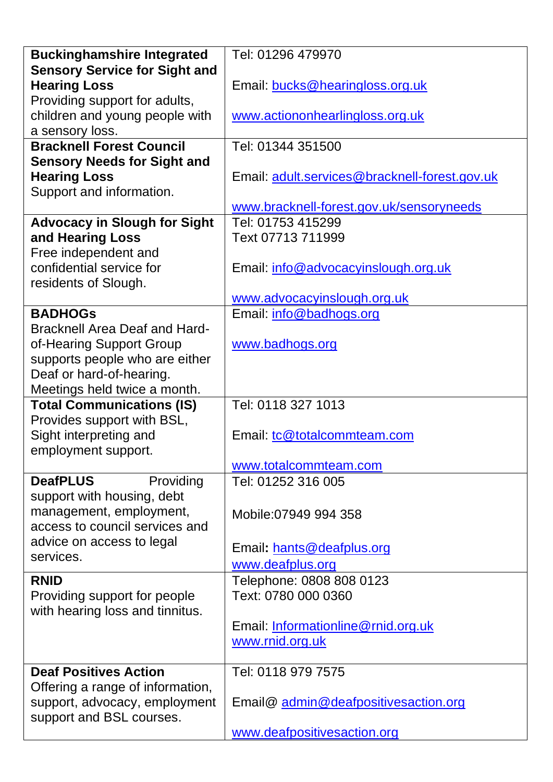| <b>Buckinghamshire Integrated</b>    | Tel: 01296 479970                             |  |  |
|--------------------------------------|-----------------------------------------------|--|--|
| <b>Sensory Service for Sight and</b> |                                               |  |  |
| <b>Hearing Loss</b>                  | Email: bucks@hearingloss.org.uk               |  |  |
| Providing support for adults,        |                                               |  |  |
| children and young people with       | www.actiononhearlingloss.org.uk               |  |  |
| a sensory loss.                      |                                               |  |  |
| <b>Bracknell Forest Council</b>      | Tel: 01344 351500                             |  |  |
| <b>Sensory Needs for Sight and</b>   |                                               |  |  |
| <b>Hearing Loss</b>                  | Email: adult.services@bracknell-forest.gov.uk |  |  |
| Support and information.             |                                               |  |  |
|                                      | www.bracknell-forest.gov.uk/sensoryneeds      |  |  |
| <b>Advocacy in Slough for Sight</b>  | Tel: 01753 415299                             |  |  |
| and Hearing Loss                     | Text 07713 711999                             |  |  |
| Free independent and                 |                                               |  |  |
| confidential service for             | Email: info@advocacyinslough.org.uk           |  |  |
| residents of Slough.                 |                                               |  |  |
|                                      | www.advocacyinslough.org.uk                   |  |  |
| <b>BADHOGS</b>                       | Email: info@badhogs.org                       |  |  |
| Bracknell Area Deaf and Hard-        |                                               |  |  |
| of-Hearing Support Group             | www.badhogs.org                               |  |  |
| supports people who are either       |                                               |  |  |
| Deaf or hard-of-hearing.             |                                               |  |  |
| Meetings held twice a month.         |                                               |  |  |
| <b>Total Communications (IS)</b>     | Tel: 0118 327 1013                            |  |  |
| Provides support with BSL,           |                                               |  |  |
| Sight interpreting and               | Email: tc@totalcommteam.com                   |  |  |
| employment support.                  |                                               |  |  |
|                                      | www.totalcommteam.com                         |  |  |
| <b>DeafPLUS</b><br>Providing         | Tel: 01252 316 005                            |  |  |
| support with housing, debt           |                                               |  |  |
| management, employment,              | Mobile:07949 994 358                          |  |  |
| access to council services and       |                                               |  |  |
| advice on access to legal            | Email: hants@deafplus.org                     |  |  |
| services.                            | www.deafplus.org                              |  |  |
| <b>RNID</b>                          | Telephone: 0808 808 0123                      |  |  |
| Providing support for people         | Text: 0780 000 0360                           |  |  |
| with hearing loss and tinnitus.      |                                               |  |  |
|                                      | Email: Informationline@rnid.org.uk            |  |  |
|                                      | www.rnid.org.uk                               |  |  |
|                                      |                                               |  |  |
| <b>Deaf Positives Action</b>         | Tel: 0118 979 7575                            |  |  |
| Offering a range of information,     |                                               |  |  |
| support, advocacy, employment        | Email@ admin@deafpositivesaction.org          |  |  |
| support and BSL courses.             |                                               |  |  |
|                                      | www.deafpositivesaction.org                   |  |  |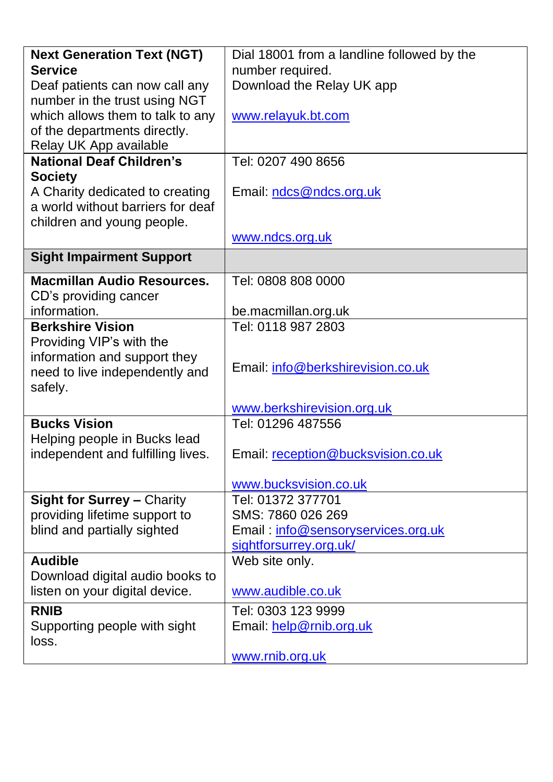| <b>Next Generation Text (NGT)</b> | Dial 18001 from a landline followed by the |  |  |
|-----------------------------------|--------------------------------------------|--|--|
| <b>Service</b>                    | number required.                           |  |  |
| Deaf patients can now call any    | Download the Relay UK app                  |  |  |
| number in the trust using NGT     |                                            |  |  |
| which allows them to talk to any  | www.relayuk.bt.com                         |  |  |
| of the departments directly.      |                                            |  |  |
| Relay UK App available            |                                            |  |  |
| <b>National Deaf Children's</b>   | Tel: 0207 490 8656                         |  |  |
| <b>Society</b>                    |                                            |  |  |
| A Charity dedicated to creating   | Email: ndcs@ndcs.org.uk                    |  |  |
| a world without barriers for deaf |                                            |  |  |
| children and young people.        |                                            |  |  |
|                                   | www.ndcs.org.uk                            |  |  |
| <b>Sight Impairment Support</b>   |                                            |  |  |
| <b>Macmillan Audio Resources.</b> | Tel: 0808 808 0000                         |  |  |
| CD's providing cancer             |                                            |  |  |
| information.                      | be.macmillan.org.uk                        |  |  |
| <b>Berkshire Vision</b>           | Tel: 0118 987 2803                         |  |  |
| Providing VIP's with the          |                                            |  |  |
| information and support they      |                                            |  |  |
| need to live independently and    | Email: info@berkshirevision.co.uk          |  |  |
| safely.                           |                                            |  |  |
|                                   | www.berkshirevision.org.uk                 |  |  |
| <b>Bucks Vision</b>               | Tel: 01296 487556                          |  |  |
| Helping people in Bucks lead      |                                            |  |  |
| independent and fulfilling lives. | Email: reception@bucksvision.co.uk         |  |  |
|                                   |                                            |  |  |
|                                   | www.bucksvision.co.uk                      |  |  |
| Sight for Surrey - Charity        | Tel: 01372 377701                          |  |  |
| providing lifetime support to     | SMS: 7860 026 269                          |  |  |
| blind and partially sighted       | Email: info@sensoryservices.org.uk         |  |  |
|                                   | sightforsurrey.org.uk/                     |  |  |
| <b>Audible</b>                    | Web site only.                             |  |  |
| Download digital audio books to   |                                            |  |  |
| listen on your digital device.    | www.audible.co.uk                          |  |  |
| <b>RNIB</b>                       | Tel: 0303 123 9999                         |  |  |
| Supporting people with sight      | Email: help@rnib.org.uk                    |  |  |
| loss.                             |                                            |  |  |
|                                   | www.rnib.org.uk                            |  |  |